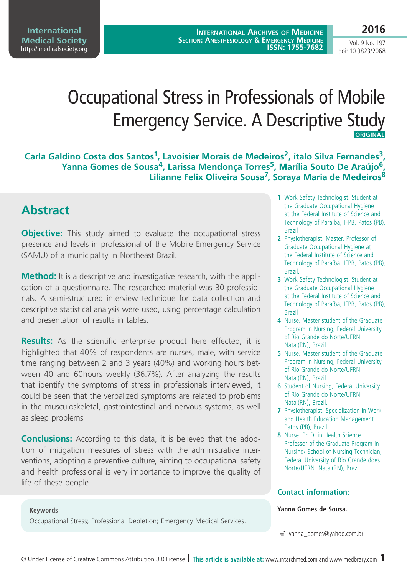**International Archives of Medicine SECTION: ANESTHESIOLOGY & EMERGENCY MEDICINE ISSN: 1755-7682**

Vol. 9 No. 197 doi: 10.3823/2068

# Occupational Stress in Professionals of Mobile Emergency Service. A Descriptive Study  **ORIGINAL**

Carla Galdino Costa dos Santos<sup>1</sup>, Lavoisier Morais de Medeiros<sup>2</sup>, ítalo Silva Fernandes<sup>3</sup>, **Yanna Gomes de Sousa4, Larissa Mendonça Torres5, Marília Souto De Araújo6, Lilianne Felix Oliveira Sousa7, Soraya Maria de Medeiros8**

# **Abstract**

**Objective:** This study aimed to evaluate the occupational stress presence and levels in professional of the Mobile Emergency Service (SAMU) of a municipality in Northeast Brazil.

**Method:** It is a descriptive and investigative research, with the application of a questionnaire. The researched material was 30 professionals. A semi-structured interview technique for data collection and descriptive statistical analysis were used, using percentage calculation and presentation of results in tables.

**Results:** As the scientific enterprise product here effected, it is highlighted that 40% of respondents are nurses, male, with service time ranging between 2 and 3 years (40%) and working hours between 40 and 60hours weekly (36.7%). After analyzing the results that identify the symptoms of stress in professionals interviewed, it could be seen that the verbalized symptoms are related to problems in the musculoskeletal, gastrointestinal and nervous systems, as well as sleep problems

**Conclusions:** According to this data, it is believed that the adoption of mitigation measures of stress with the administrative interventions, adopting a preventive culture, aiming to occupational safety and health professional is very importance to improve the quality of life of these people.

#### **1** Work Safety Technologist. Student at the Graduate Occupational Hygiene at the Federal Institute of Science and Technology of Paraíba, IFPB, Patos (PB), Brazil

- **2** Physiotherapist. Master. Professor of Graduate Occupational Hygiene at the Federal Institute of Science and Technology of Paraíba. IFPB, Patos (PB), Brazil.
- **3** Work Safety Technologist. Student at the Graduate Occupational Hygiene at the Federal Institute of Science and Technology of Paraíba, IFPB, Patos (PB), Brazil
- **4** Nurse. Master student of the Graduate Program in Nursing, Federal University of Rio Grande do Norte/UFRN. Natal(RN), Brazil.
- **5** Nurse. Master student of the Graduate Program in Nursing, Federal University of Rio Grande do Norte/UFRN. Natal(RN), Brazil.
- **6** Student of Nursing, Federal University of Rio Grande do Norte/UFRN. Natal(RN), Brazil.
- **7** Physiotherapist. Specialization in Work and Health Education Management. Patos (PB), Brazil.
- **8** Nurse. Ph.D. in Health Science. Professor of the Graduate Program in Nursing/ School of Nursing Technician, Federal University of Rio Grande does Norte/UFRN. Natal(RN), Brazil.

### **Contact information:**

#### **Yanna Gomes de Sousa.**

 $\equiv$  yanna\_gomes@yahoo.com.br

#### **Keywords**

Occupational Stress; Professional Depletion; Emergency Medical Services.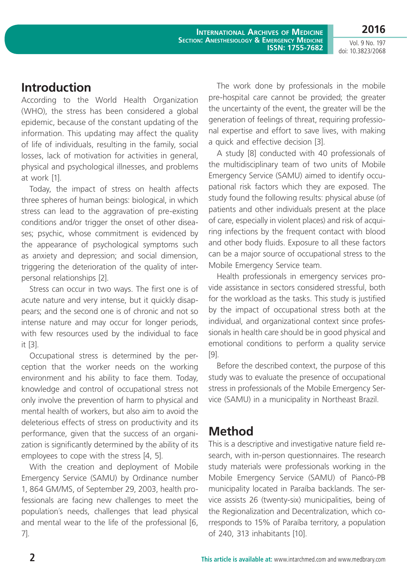**2016**

Vol. 9 No. 197 doi: 10.3823/2068

# **Introduction**

According to the World Health Organization (WHO), the stress has been considered a global epidemic, because of the constant updating of the information. This updating may affect the quality of life of individuals, resulting in the family, social losses, lack of motivation for activities in general, physical and psychological illnesses, and problems at work [1].

Today, the impact of stress on health affects three spheres of human beings: biological, in which stress can lead to the aggravation of pre-existing conditions and/or trigger the onset of other diseases; psychic, whose commitment is evidenced by the appearance of psychological symptoms such as anxiety and depression; and social dimension, triggering the deterioration of the quality of interpersonal relationships [2].

Stress can occur in two ways. The first one is of acute nature and very intense, but it quickly disappears; and the second one is of chronic and not so intense nature and may occur for longer periods, with few resources used by the individual to face it [3].

Occupational stress is determined by the perception that the worker needs on the working environment and his ability to face them. Today, knowledge and control of occupational stress not only involve the prevention of harm to physical and mental health of workers, but also aim to avoid the deleterious effects of stress on productivity and its performance, given that the success of an organization is significantly determined by the ability of its employees to cope with the stress [4, 5].

With the creation and deployment of Mobile Emergency Service (SAMU) by Ordinance number 1, 864 GM/MS, of September 29, 2003, health professionals are facing new challenges to meet the population´s needs, challenges that lead physical and mental wear to the life of the professional [6, 7].

The work done by professionals in the mobile pre-hospital care cannot be provided; the greater the uncertainty of the event, the greater will be the generation of feelings of threat, requiring professional expertise and effort to save lives, with making a quick and effective decision [3].

A study [8] conducted with 40 professionals of the multidisciplinary team of two units of Mobile Emergency Service (SAMU) aimed to identify occupational risk factors which they are exposed. The study found the following results: physical abuse (of patients and other individuals present at the place of care, especially in violent places) and risk of acquiring infections by the frequent contact with blood and other body fluids. Exposure to all these factors can be a major source of occupational stress to the Mobile Emergency Service team.

Health professionals in emergency services provide assistance in sectors considered stressful, both for the workload as the tasks. This study is justified by the impact of occupational stress both at the individual, and organizational context since professionals in health care should be in good physical and emotional conditions to perform a quality service [9].

Before the described context, the purpose of this study was to evaluate the presence of occupational stress in professionals of the Mobile Emergency Service (SAMU) in a municipality in Northeast Brazil.

# **Method**

This is a descriptive and investigative nature field research, with in-person questionnaires. The research study materials were professionals working in the Mobile Emergency Service (SAMU) of Piancó-PB municipality located in Paraíba backlands. The service assists 26 (twenty-six) municipalities, being of the Regionalization and Decentralization, which corresponds to 15% of Paraíba territory, a population of 240, 313 inhabitants [10].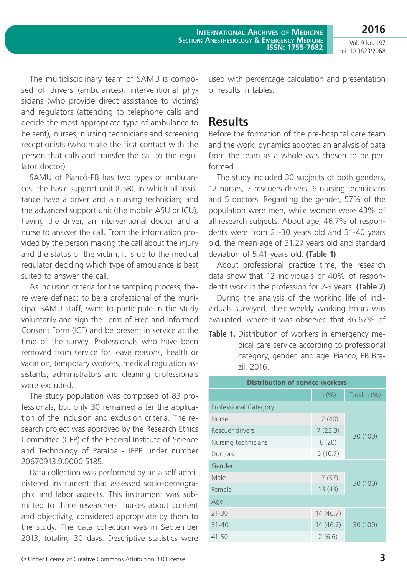**International Archives of Medicine SECTION: ANESTHESIOLOGY & EMERGENCY MEDICINE ISSN: 1755-7682**

Vol. 9 No. 197 doi: 10.3823/2068

**2016**

The multidisciplinary team of SAMU is composed of drivers (ambulances), interventional physicians (who provide direct assistance to victims) and regulators (attending to telephone calls and decide the most appropriate type of ambulance to be sent), nurses, nursing technicians and screening receptionists (who make the first contact with the person that calls and transfer the call to the regulator doctor).

SAMU of Piancó-PB has two types of ambulances: the basic support unit (USB), in which all assistance have a driver and a nursing technician; and the advanced support unit (the mobile ASU or ICU), having the driver, an interventional doctor and a nurse to answer the call. From the information provided by the person making the call about the injury and the status of the victim, it is up to the medical regulator deciding which type of ambulance is best suited to answer the call.

As inclusion criteria for the sampling process, there were defined: to be a professional of the municipal SAMU staff, want to participate in the study voluntarily and sign the Term of Free and Informed Consent Form (ICF) and be present in service at the time of the survey. Professionals who have been removed from service for leave reasons, health or vacation, temporary workers, medical regulation assistants, administrators and cleaning professionals were excluded.

The study population was composed of 83 professionals, but only 30 remained after the application of the inclusion and exclusion criteria. The research project was approved by the Research Ethics Committee (CEP) of the Federal Institute of Science and Technology of Paraíba - IFPB under number 20670913.9.0000.5185.

Data collection was performed by an a self-administered instrument that assessed socio-demographic and labor aspects. This instrument was submitted to three researchers´ nurses about content and objectivity, considered appropriate by them to the study. The data collection was in September 2013, totaling 30 days. Descriptive statistics were used with percentage calculation and presentation of results in tables.

### **Results**

Before the formation of the pre-hospital care team and the work, dynamics adopted an analysis of data from the team as a whole was chosen to be performed.

The study included 30 subjects of both genders, 12 nurses, 7 rescuers drivers, 6 nursing technicians and 5 doctors. Regarding the gender, 57% of the population were men, while women were 43% of all research subjects. About age, 46.7% of respondents were from 21-30 years old and 31-40 years old, the mean age of 31.27 years old and standard deviation of 5.41 years old. **(Table 1)**

About professional practice time, the research data show that 12 individuals or 40% of respondents work in the profession for 2-3 years. **(Table 2)**

During the analysis of the working life of individuals surveyed, their weekly working hours was evaluated, where it was observed that 36.67% of

**Table 1.** Distribution of workers in emergency medical care service according to professional category, gender, and age. Pianco, PB Brazil. 2016.

| <b>Distribution of service workers</b> |          |             |  |  |
|----------------------------------------|----------|-------------|--|--|
|                                        | n (%)    | Total n (%) |  |  |
| <b>Professional Category</b>           |          |             |  |  |
| <b>Nurse</b>                           | 12(40)   | 30 (100)    |  |  |
| Rescuer drivers                        | 7(23.3)  |             |  |  |
| Nursing technicians                    | 6(20)    |             |  |  |
| Doctors                                | 5(16.7)  |             |  |  |
| Gender                                 |          |             |  |  |
| Male                                   | 17(57)   | 30 (100)    |  |  |
| Female                                 | 13(43)   |             |  |  |
| Age                                    |          |             |  |  |
| $21 - 30$                              | 14(46.7) | 30 (100)    |  |  |
| $31 - 40$                              | 14(46.7) |             |  |  |
| $41 - 50$                              | 2(6.6)   |             |  |  |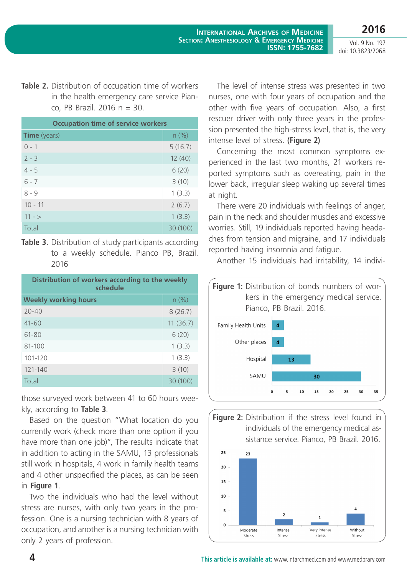Vol. 9 No. 197 doi: 10.3823/2068

**Table 2.** Distribution of occupation time of workers in the health emergency care service Pianco, PB Brazil. 2016 n = 30.

| <b>Occupation time of service workers</b> |          |  |
|-------------------------------------------|----------|--|
| <b>Time</b> (years)                       | n (%)    |  |
| $() - 1$                                  | 5(16.7)  |  |
| $2 - 3$                                   | 12(40)   |  |
| $4 - 5$                                   | 6(20)    |  |
| $6 - 7$                                   | 3(10)    |  |
| $8 - 9$                                   | 1(3.3)   |  |
| $10 - 11$                                 | 2(6.7)   |  |
| $11 - 5$                                  | 1(3.3)   |  |
| Total                                     | 30 (100) |  |

**Table 3.** Distribution of study participants according to a weekly schedule. Pianco PB, Brazil. 2016

| Distribution of workers according to the weekly<br>schedule |          |  |
|-------------------------------------------------------------|----------|--|
| <b>Weekly working hours</b>                                 | $n$ (%)  |  |
| $20 - 40$                                                   | 8(26.7)  |  |
| $41 - 60$                                                   | 11(36.7) |  |
| 61-80                                                       | 6(20)    |  |
| 81-100                                                      | 1(3.3)   |  |
| $101 - 120$                                                 | 1(3.3)   |  |
| 121-140                                                     | 3(10)    |  |
| Total                                                       | 30 (100) |  |

those surveyed work between 41 to 60 hours weekly, according to **Table 3**.

Based on the question "What location do you currently work (check more than one option if you have more than one job)", The results indicate that in addition to acting in the SAMU, 13 professionals still work in hospitals, 4 work in family health teams and 4 other unspecified the places, as can be seen in **Figure 1**.

Two the individuals who had the level without stress are nurses, with only two years in the profession. One is a nursing technician with 8 years of occupation, and another is a nursing technician with only 2 years of profession.

The level of intense stress was presented in two nurses, one with four years of occupation and the other with five years of occupation. Also, a first rescuer driver with only three years in the profession presented the high-stress level, that is, the very intense level of stress. **(Figure 2)**

Concerning the most common symptoms experienced in the last two months, 21 workers reported symptoms such as overeating, pain in the lower back, irregular sleep waking up several times at night.

There were 20 individuals with feelings of anger, pain in the neck and shoulder muscles and excessive worries. Still, 19 individuals reported having headaches from tension and migraine, and 17 individuals reported having insomnia and fatigue.

Another 15 individuals had irritability, 14 indivi-





Stress

Stress

Stress

Stress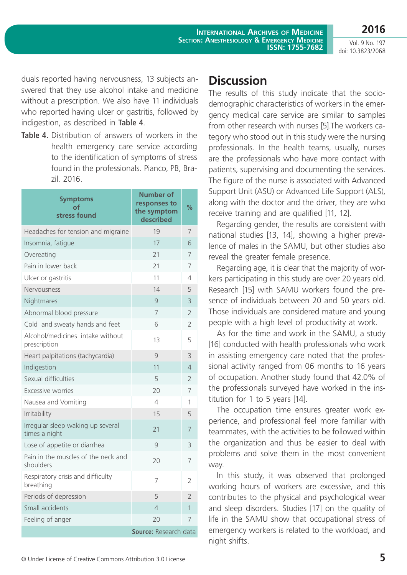Vol. 9 No. 197 doi: 10.3823/2068

**2016**

duals reported having nervousness, 13 subjects answered that they use alcohol intake and medicine without a prescription. We also have 11 individuals who reported having ulcer or gastritis, followed by indigestion, as described in **Table 4**.

**Table 4.** Distribution of answers of workers in the health emergency care service according to the identification of symptoms of stress found in the professionals. Pianco, PB, Brazil. 2016.

| <b>Symptoms</b><br>оf<br>stress found              | Number of<br>responses to<br>the symptom<br>described | %              |
|----------------------------------------------------|-------------------------------------------------------|----------------|
| Headaches for tension and migraine                 | 19                                                    | 7              |
| Insomnia, fatique                                  | 17                                                    | 6              |
| Overeating                                         | 21                                                    | 7              |
| Pain in lower back                                 | 21                                                    | 7              |
| Ulcer or gastritis                                 | 11                                                    | 4              |
| Nervousness                                        | 14                                                    | 5              |
| Nightmares                                         | $\mathcal{Q}$                                         | 3              |
| Abnormal blood pressure                            | $\overline{7}$                                        | $\overline{2}$ |
| Cold and sweaty hands and feet                     | 6                                                     | 2              |
| Alcohol/medicines intake without<br>prescription   | 13                                                    | 5              |
| Heart palpitations (tachycardia)                   | $\overline{Q}$                                        | 3              |
| Indigestion                                        | 11                                                    | 4              |
| Sexual difficulties                                | 5                                                     | $\overline{2}$ |
| Excessive worries                                  | 20                                                    | 7              |
| Nausea and Vomiting                                | $\Delta$                                              | 1              |
| Irritability                                       | 15                                                    | 5              |
| Irregular sleep waking up several<br>times a night | 21                                                    | $\overline{7}$ |
| Lose of appetite or diarrhea                       | $\mathcal{Q}$                                         | 3              |
| Pain in the muscles of the neck and<br>shoulders   | 20                                                    | 7              |
| Respiratory crisis and difficulty<br>breathing     | 7                                                     | 2              |
| Periods of depression                              | 5                                                     | $\overline{2}$ |
| Small accidents                                    | $\overline{4}$                                        | $\mathbf{1}$   |
| Feeling of anger                                   | 20                                                    | 7              |
|                                                    | Source: Research data                                 |                |

# **Discussion**

The results of this study indicate that the sociodemographic characteristics of workers in the emergency medical care service are similar to samples from other research with nurses [5].The workers category who stood out in this study were the nursing professionals. In the health teams, usually, nurses are the professionals who have more contact with patients, supervising and documenting the services. The figure of the nurse is associated with Advanced Support Unit (ASU) or Advanced Life Support (ALS), along with the doctor and the driver, they are who receive training and are qualified [11, 12].

Regarding gender, the results are consistent with national studies [13, 14], showing a higher prevalence of males in the SAMU, but other studies also reveal the greater female presence.

Regarding age, it is clear that the majority of workers participating in this study are over 20 years old. Research [15] with SAMU workers found the presence of individuals between 20 and 50 years old. Those individuals are considered mature and young people with a high level of productivity at work.

As for the time and work in the SAMU, a study [16] conducted with health professionals who work in assisting emergency care noted that the professional activity ranged from 06 months to 16 years of occupation. Another study found that 42.0% of the professionals surveyed have worked in the institution for 1 to 5 years [14].

The occupation time ensures greater work experience, and professional feel more familiar with teammates, with the activities to be followed within the organization and thus be easier to deal with problems and solve them in the most convenient way.

In this study, it was observed that prolonged working hours of workers are excessive, and this contributes to the physical and psychological wear and sleep disorders. Studies [17] on the quality of life in the SAMU show that occupational stress of emergency workers is related to the workload, and night shifts.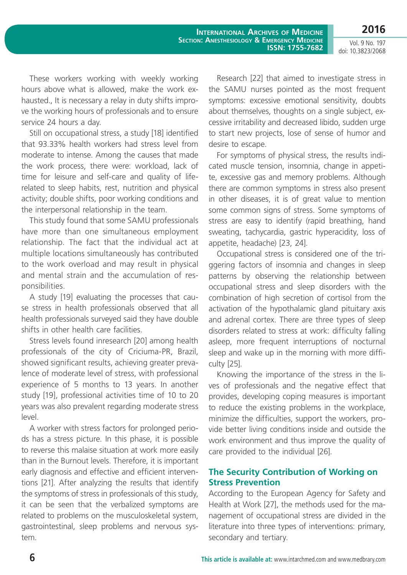**2016**

Vol. 9 No. 197 doi: 10.3823/2068

These workers working with weekly working hours above what is allowed, make the work exhausted., It is necessary a relay in duty shifts improve the working hours of professionals and to ensure service 24 hours a day.

Still on occupational stress, a study [18] identified that 93.33% health workers had stress level from moderate to intense. Among the causes that made the work process, there were: workload, lack of time for leisure and self-care and quality of liferelated to sleep habits, rest, nutrition and physical activity; double shifts, poor working conditions and the interpersonal relationship in the team.

This study found that some SAMU professionals have more than one simultaneous employment relationship. The fact that the individual act at multiple locations simultaneously has contributed to the work overload and may result in physical and mental strain and the accumulation of responsibilities.

A study [19] evaluating the processes that cause stress in health professionals observed that all health professionals surveyed said they have double shifts in other health care facilities.

Stress levels found inresearch [20] among health professionals of the city of Criciuma-PR, Brazil, showed significant results, achieving greater prevalence of moderate level of stress, with professional experience of 5 months to 13 years. In another study [19], professional activities time of 10 to 20 years was also prevalent regarding moderate stress level.

A worker with stress factors for prolonged periods has a stress picture. In this phase, it is possible to reverse this malaise situation at work more easily than in the Burnout levels. Therefore, it is important early diagnosis and effective and efficient interventions [21]. After analyzing the results that identify the symptoms of stress in professionals of this study, it can be seen that the verbalized symptoms are related to problems on the musculoskeletal system, gastrointestinal, sleep problems and nervous system.

Research [22] that aimed to investigate stress in the SAMU nurses pointed as the most frequent symptoms: excessive emotional sensitivity, doubts about themselves, thoughts on a single subject, excessive irritability and decreased libido, sudden urge to start new projects, lose of sense of humor and desire to escape.

For symptoms of physical stress, the results indicated muscle tension, insomnia, change in appetite, excessive gas and memory problems. Although there are common symptoms in stress also present in other diseases, it is of great value to mention some common signs of stress. Some symptoms of stress are easy to identify (rapid breathing, hand sweating, tachycardia, gastric hyperacidity, loss of appetite, headache) [23, 24].

Occupational stress is considered one of the triggering factors of insomnia and changes in sleep patterns by observing the relationship between occupational stress and sleep disorders with the combination of high secretion of cortisol from the activation of the hypothalamic gland pituitary axis and adrenal cortex. There are three types of sleep disorders related to stress at work: difficulty falling asleep, more frequent interruptions of nocturnal sleep and wake up in the morning with more difficulty [25].

Knowing the importance of the stress in the lives of professionals and the negative effect that provides, developing coping measures is important to reduce the existing problems in the workplace, minimize the difficulties, support the workers, provide better living conditions inside and outside the work environment and thus improve the quality of care provided to the individual [26].

### **The Security Contribution of Working on Stress Prevention**

According to the European Agency for Safety and Health at Work [27], the methods used for the management of occupational stress are divided in the literature into three types of interventions: primary, secondary and tertiary.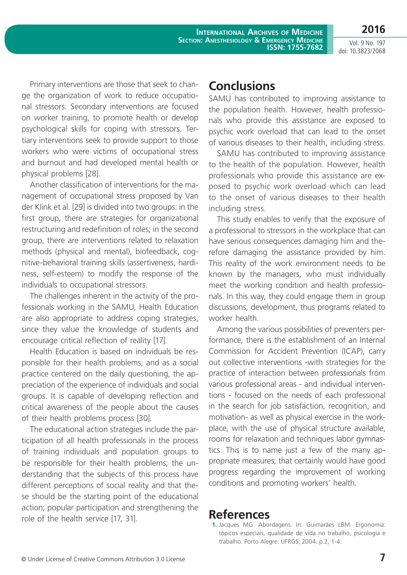**International Archives of Medicine SECTION: ANESTHESIOLOGY & EMERGENCY MEDICINE ISSN: 1755-7682**

Vol. 9 No. 197 doi: 10.3823/2068

**2016**

Primary interventions are those that seek to change the organization of work to reduce occupational stressors. Secondary interventions are focused on worker training, to promote health or develop psychological skills for coping with stressors. Tertiary interventions seek to provide support to those workers who were victims of occupational stress and burnout and had developed mental health or physical problems [28].

Another classification of interventions for the management of occupational stress proposed by Van der Klink et al. [29] is divided into two groups: in the first group, there are strategies for organizational restructuring and redefinition of roles; in the second group, there are interventions related to relaxation methods (physical and mental), biofeedback, cognitive-behavioral training skills (assertiveness, hardiness, self-esteem) to modify the response of the individuals to occupational stressors.

The challenges inherent in the activity of the professionals working in the SAMU, Health Education are also appropriate to address coping strategies, since they value the knowledge of students and encourage critical reflection of reality [17].

Health Education is based on individuals be responsible for their health problems, and as a social practice centered on the daily questioning, the appreciation of the experience of individuals and social groups. It is capable of developing reflection and critical awareness of the people about the causes of their health problems process [30].

The educational action strategies include the participation of all health professionals in the process of training individuals and population groups to be responsible for their health problems; the understanding that the subjects of this process have different perceptions of social reality and that these should be the starting point of the educational action; popular participation and strengthening the role of the health service [17, 31].

## **Conclusions**

SAMU has contributed to improving assistance to the population health. However, health professionals who provide this assistance are exposed to psychic work overload that can lead to the onset of various diseases to their health, including stress.

SAMU has contributed to improving assistance to the health of the population. However, health professionals who provide this assistance are exposed to psychic work overload which can lead to the onset of various diseases to their health including stress.

This study enables to verify that the exposure of a professional to stressors in the workplace that can have serious consequences damaging him and therefore damaging the assistance provided by him. This reality of the work environment needs to be known by the managers, who must individually meet the working condition and health professionals. In this way, they could engage them in group discussions, development, thus programs related to worker health.

Among the various possibilities of preventers performance, there is the establishment of an Internal Commission for Accident Prevention (ICAP), carry out collective interventions -with strategies for the practice of interaction between professionals from various professional areas - and individual interventions - focused on the needs of each professional in the search for job satisfaction, recognition, and motivation- as well as physical exercise in the workplace, with the use of physical structure available, rooms for relaxation and techniques labor gymnastics. This is to name just a few of the many appropriate measures; that certainly would have good progress regarding the improvement of working conditions and promoting workers' health.

## **References**

**<sup>1.</sup>** Jacques MG. Abordagens. In: Guimarães LBM. Ergonomia: tópicos especiais, qualidade de vida no trabalho, psicologia e trabalho. Porto Alegre: UFRGS; 2004. p.2, 1-4.